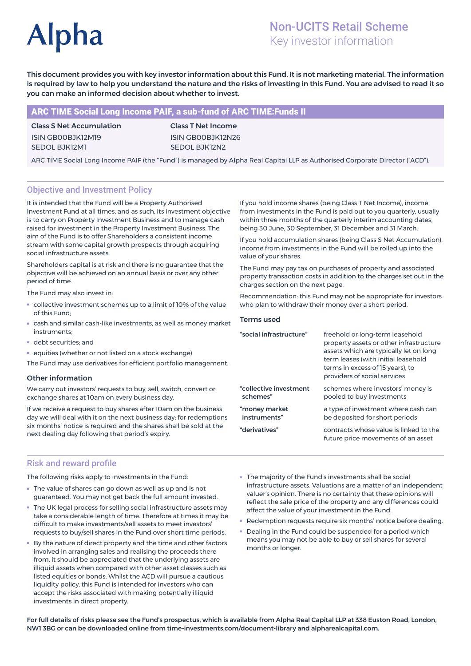# **Alpha**

# Non-UCITS Retail Scheme Key investor information

This document provides you with key investor information about this Fund. It is not marketing material. The information is required by law to help you understand the nature and the risks of investing in this Fund. You are advised to read it so you can make an informed decision about whether to invest.

# ARC TIME Social Long Income PAIF, a sub-fund of ARC TIME:Funds II

Class S Net Accumulation ISIN GB00BJK12M19 SEDOL BJK12M1

Class T Net Income ISIN GB00BJK12N26 SEDOL BJK12N2

ARC TIME Social Long Income PAIF (the "Fund") is managed by Alpha Real Capital LLP as Authorised Corporate Director ("ACD").

# Objective and Investment Policy

It is intended that the Fund will be a Property Authorised Investment Fund at all times, and as such, its investment objective is to carry on Property Investment Business and to manage cash raised for investment in the Property Investment Business. The aim of the Fund is to offer Shareholders a consistent income stream with some capital growth prospects through acquiring social infrastructure assets.

Shareholders capital is at risk and there is no guarantee that the objective will be achieved on an annual basis or over any other period of time.

The Fund may also invest in:

- collective investment schemes up to a limit of 10% of the value of this Fund;
- cash and similar cash-like investments, as well as money market instruments;
- debt securities; and
- equities (whether or not listed on a stock exchange)

The Fund may use derivatives for efficient portfolio management.

## Other information

We carry out investors' requests to buy, sell, switch, convert or exchange shares at 10am on every business day.

If we receive a request to buy shares after 10am on the business day we will deal with it on the next business day; for redemptions six months' notice is required and the shares shall be sold at the next dealing day following that period's expiry.

Risk and reward profile

The following risks apply to investments in the Fund:

- The value of shares can go down as well as up and is not guaranteed. You may not get back the full amount invested.
- The UK legal process for selling social infrastructure assets may take a considerable length of time. Therefore at times it may be difficult to make investments/sell assets to meet investors' requests to buy/sell shares in the Fund over short time periods.
- By the nature of direct property and the time and other factors involved in arranging sales and realising the proceeds there from, it should be appreciated that the underlying assets are illiquid assets when compared with other asset classes such as listed equities or bonds. Whilst the ACD will pursue a cautious liquidity policy, this Fund is intended for investors who can accept the risks associated with making potentially illiquid investments in direct property.

If you hold income shares (being Class T Net Income), income from investments in the Fund is paid out to you quarterly, usually within three months of the quarterly interim accounting dates, being 30 June, 30 September, 31 December and 31 March.

If you hold accumulation shares (being Class S Net Accumulation), income from investments in the Fund will be rolled up into the value of your shares.

The Fund may pay tax on purchases of property and associated property transaction costs in addition to the charges set out in the charges section on the next page.

Recommendation: this Fund may not be appropriate for investors who plan to withdraw their money over a short period.

#### Terms used

| freehold or long-term leasehold<br>property assets or other infrastructure<br>assets which are typically let on long-<br>term leases (with initial leasehold<br>terms in excess of 15 years), to<br>providers of social services |
|----------------------------------------------------------------------------------------------------------------------------------------------------------------------------------------------------------------------------------|
| schemes where investors' money is<br>pooled to buy investments                                                                                                                                                                   |
| a type of investment where cash can<br>be deposited for short periods                                                                                                                                                            |
| contracts whose value is linked to the<br>future price movements of an asset                                                                                                                                                     |
|                                                                                                                                                                                                                                  |

- The majority of the Fund's investments shall be social infrastructure assets. Valuations are a matter of an independent valuer's opinion. There is no certainty that these opinions will reflect the sale price of the property and any differences could affect the value of your investment in the Fund.
- Redemption requests require six months' notice before dealing.
- Dealing in the Fund could be suspended for a period which means you may not be able to buy or sell shares for several months or longer.

For full details of risks please see the Fund's prospectus, which is available from Alpha Real Capital LLP at 338 Euston Road, London, NW1 3BG or can be downloaded online from time-investments.com/document-library and alpharealcapital.com.